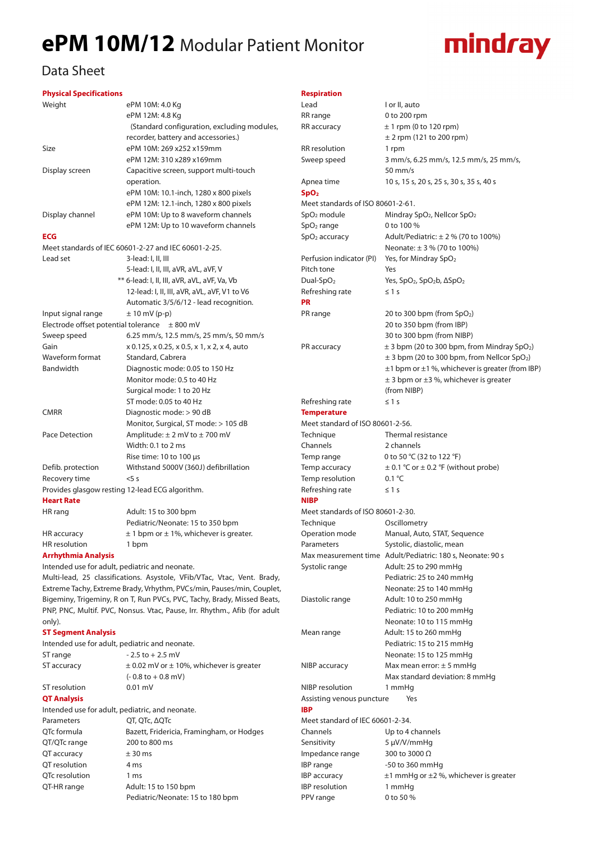## **ePM 10M/12** Modular Patient Monitor



### Data Sheet

#### **Physical Specifications**

| Weight                     | ePM 10M: 4.0 Kg                                      |  |  |
|----------------------------|------------------------------------------------------|--|--|
|                            | ePM 12M: 4.8 Kg                                      |  |  |
|                            | (Standard configuration, excluding modules,          |  |  |
|                            | recorder, battery and accessories.)                  |  |  |
| Size                       | ePM 10M: 269 x252 x159mm                             |  |  |
|                            | ePM 12M: 310 x289 x169mm                             |  |  |
| Display screen             | Capacitive screen, support multi-touch               |  |  |
|                            | operation.                                           |  |  |
|                            | ePM 10M: 10.1-inch, 1280 x 800 pixels                |  |  |
|                            | ePM 12M: 12.1-inch, 1280 x 800 pixels                |  |  |
| Display channel            | ePM 10M: Up to 8 waveform channels                   |  |  |
|                            | ePM 12M: Up to 10 waveform channels                  |  |  |
| <b>ECG</b>                 |                                                      |  |  |
|                            | Meet standards of IEC 60601-2-27 and IEC 60601-2-25. |  |  |
| Lead set                   | 3-lead: I, II, III                                   |  |  |
|                            | 5-lead: I, II, III, aVR, aVL, aVF, V                 |  |  |
|                            | ** 6-lead: I, II, III, aVR, aVL, aVF, Va, Vb         |  |  |
|                            | 12-lead: I, II, III, aVR, aVL, aVF, V1 to V6         |  |  |
|                            | Automatic 3/5/6/12 - lead recognition.               |  |  |
| Input signal range         | $\pm$ 10 mV (p-p)                                    |  |  |
|                            | Electrode offset potential tolerance $\pm 800$ mV    |  |  |
| Sweep speed                | 6.25 mm/s, 12.5 mm/s, 25 mm/s, 50 mm/s               |  |  |
| Gain                       | x 0.125, x 0.25, x 0.5, x 1, x 2, x 4, auto          |  |  |
| Waveform format            | Standard, Cabrera                                    |  |  |
| Bandwidth                  | Diagnostic mode: 0.05 to 150 Hz                      |  |  |
|                            | Monitor mode: 0.5 to 40 Hz                           |  |  |
|                            | Surgical mode: 1 to 20 Hz                            |  |  |
|                            | ST mode: 0.05 to 40 Hz                               |  |  |
| <b>CMRR</b>                | Diagnostic mode: > 90 dB                             |  |  |
|                            | Monitor, Surgical, ST mode: > 105 dB                 |  |  |
| Pace Detection             | Amplitude: $\pm$ 2 mV to $\pm$ 700 mV                |  |  |
|                            | Width: 0.1 to 2 ms                                   |  |  |
|                            | Rise time: 10 to 100 µs                              |  |  |
| Defib. protection          | Withstand 5000V (360J) defibrillation                |  |  |
| Recovery time              | $5$ s                                                |  |  |
|                            | Provides glasgow resting 12-lead ECG algorithm.      |  |  |
| <b>Heart Rate</b>          |                                                      |  |  |
| HR rang                    | Adult: 15 to 300 bpm                                 |  |  |
|                            | Pediatric/Neonate: 15 to 350 bpm                     |  |  |
| HR accuracy                | $\pm$ 1 bpm or $\pm$ 1%, whichever is greater.       |  |  |
| HR resolution              | 1 bpm                                                |  |  |
| <b>Arrhythmia Analysis</b> |                                                      |  |  |

Intended use for adult, pediatric and neonate.

Multi-lead, 25 classifications. Asystole, VFib/VTac, Vtac, Vent. Brady, Extreme Tachy, Extreme Brady, Vrhythm, PVCs/min, Pauses/min, Couplet, Bigeminy, Trigeminy, R on T, Run PVCs, PVC, Tachy, Brady, Missed Beats, PNP, PNC, Multif. PVC, Nonsus. Vtac, Pause, Irr. Rhythm., Afib (for adult only).

#### **ST Segment Analysis**

Intended use for adult, pediatric and neonate. ST range  $-2.5$  to  $+2.5$  mV

| ST accuracy        | $\pm$ 0.02 mV or $\pm$ 10%, whichever is greater |  |
|--------------------|--------------------------------------------------|--|
|                    | $(-0.8 \text{ to } +0.8 \text{ mV})$             |  |
| ST resolution      | $0.01$ mV                                        |  |
| <b>QT Analysis</b> |                                                  |  |
|                    | Intended use for adult, pediatric, and neonate.  |  |
| Parameters         | QT, QTc, AQTc                                    |  |
| QTc formula        | Bazett, Fridericia, Framingham, or Hodges        |  |
| QT/QTc range       | 200 to 800 ms                                    |  |
| QT accuracy        | $± 30$ ms                                        |  |
| OT resolution      | 4 ms                                             |  |
| OTc resolution     | 1 <sub>ms</sub>                                  |  |
| QT-HR range        | Adult: 15 to 150 bpm                             |  |
|                    | Pediatric/Neonate: 15 to 180 bpm                 |  |

#### **Respiration**

| Lead                                    | I or II, auto                                                                                                              |  |  |
|-----------------------------------------|----------------------------------------------------------------------------------------------------------------------------|--|--|
| RR range                                | 0 to 200 rpm                                                                                                               |  |  |
| RR accuracy                             | $± 1$ rpm (0 to 120 rpm)                                                                                                   |  |  |
|                                         | $\pm$ 2 rpm (121 to 200 rpm)                                                                                               |  |  |
| <b>RR</b> resolution                    | 1 rpm                                                                                                                      |  |  |
| Sweep speed                             | 3 mm/s, 6.25 mm/s, 12.5 mm/s, 25 mm/s,                                                                                     |  |  |
|                                         | $50 \text{ mm/s}$                                                                                                          |  |  |
| Apnea time                              | 10 s, 15 s, 20 s, 25 s, 30 s, 35 s, 40 s                                                                                   |  |  |
| SpO <sub>2</sub>                        |                                                                                                                            |  |  |
| Meet standards of ISO 80601-2-61.       |                                                                                                                            |  |  |
| SpO <sub>2</sub> module                 | Mindray SpO <sub>2</sub> , Nellcor SpO <sub>2</sub>                                                                        |  |  |
| $SpO2$ range                            | 0 to 100 %                                                                                                                 |  |  |
| $SpO2$ accuracy                         | Adult/Pediatric: $\pm$ 2 % (70 to 100%)                                                                                    |  |  |
|                                         | Neonate: $\pm 3$ % (70 to 100%)                                                                                            |  |  |
| Perfusion indicator (PI)                | Yes, for Mindray SpO <sub>2</sub>                                                                                          |  |  |
| Pitch tone                              | Yes                                                                                                                        |  |  |
| Dual-Sp $O2$                            | Yes, SpO <sub>2</sub> , SpO <sub>2</sub> b, ASpO <sub>2</sub>                                                              |  |  |
| Refreshing rate                         | $\leq 1$ s                                                                                                                 |  |  |
| <b>PR</b>                               |                                                                                                                            |  |  |
| PR range                                | 20 to 300 bpm (from $SpO2$ )                                                                                               |  |  |
|                                         | 20 to 350 bpm (from IBP)                                                                                                   |  |  |
|                                         | 30 to 300 bpm (from NIBP)                                                                                                  |  |  |
|                                         |                                                                                                                            |  |  |
| PR accuracy                             | $\pm$ 3 bpm (20 to 300 bpm, from Mindray SpO <sub>2</sub> )<br>$\pm$ 3 bpm (20 to 300 bpm, from Nellcor SpO <sub>2</sub> ) |  |  |
|                                         |                                                                                                                            |  |  |
|                                         | $\pm$ 1 bpm or $\pm$ 1 %, whichever is greater (from IBP)                                                                  |  |  |
|                                         | $\pm$ 3 bpm or $\pm$ 3 %, whichever is greater                                                                             |  |  |
|                                         | (from NIBP)                                                                                                                |  |  |
| Refreshing rate                         | $\leq 1$ s                                                                                                                 |  |  |
| <b>Temperature</b>                      |                                                                                                                            |  |  |
| Meet standard of ISO 80601-2-56.        |                                                                                                                            |  |  |
| Technique                               | Thermal resistance                                                                                                         |  |  |
| Channels                                | 2 channels                                                                                                                 |  |  |
| Temp range                              | 0 to 50 °C (32 to 122 °F)                                                                                                  |  |  |
| Temp accuracy                           | $\pm$ 0.1 °C or $\pm$ 0.2 °F (without probe)                                                                               |  |  |
| Temp resolution                         | $0.1 \text{ }^{\circ}$ C                                                                                                   |  |  |
| Refreshing rate                         | $\leq 1$ s                                                                                                                 |  |  |
| <b>NIBP</b>                             |                                                                                                                            |  |  |
| Meet standards of ISO 80601-2-30.       |                                                                                                                            |  |  |
| Technique                               | Oscillometry                                                                                                               |  |  |
| Operation mode                          | Manual, Auto, STAT, Sequence                                                                                               |  |  |
| Parameters                              | Systolic, diastolic, mean                                                                                                  |  |  |
|                                         | Max measurement time Adult/Pediatric: 180 s, Neonate: 90 s                                                                 |  |  |
| Systolic range                          | Adult: 25 to 290 mmHq                                                                                                      |  |  |
|                                         | Pediatric: 25 to 240 mmHg                                                                                                  |  |  |
|                                         | Neonate: 25 to 140 mmHg                                                                                                    |  |  |
| Diastolic range                         | Adult: 10 to 250 mmHg                                                                                                      |  |  |
|                                         | Pediatric: 10 to 200 mmHg                                                                                                  |  |  |
|                                         | Neonate: 10 to 115 mmHg                                                                                                    |  |  |
| Mean range                              | Adult: 15 to 260 mmHg                                                                                                      |  |  |
|                                         | Pediatric: 15 to 215 mmHg                                                                                                  |  |  |
|                                         | Neonate: 15 to 125 mmHg                                                                                                    |  |  |
| NIBP accuracy                           | Max mean error: $\pm$ 5 mmHg                                                                                               |  |  |
|                                         | Max standard deviation: 8 mmHg                                                                                             |  |  |
| NIBP resolution                         | 1 mmHg                                                                                                                     |  |  |
| Assisting venous puncture<br><b>IBP</b> | Yes                                                                                                                        |  |  |
| Meet standard of IEC 60601-2-34.        |                                                                                                                            |  |  |
| Channels                                | Up to 4 channels                                                                                                           |  |  |
| Sensitivity                             | 5 µV/V/mmHq                                                                                                                |  |  |
| Impedance range                         | 300 to 3000 Ω                                                                                                              |  |  |
| IBP range                               | -50 to 360 mmHg                                                                                                            |  |  |
| <b>IBP</b> accuracy                     | $\pm$ 1 mmHg or $\pm$ 2 %, whichever is greater                                                                            |  |  |
| <b>IBP</b> resolution                   | 1 mmHq                                                                                                                     |  |  |
| PPV range                               | 0 to 50 %                                                                                                                  |  |  |
|                                         |                                                                                                                            |  |  |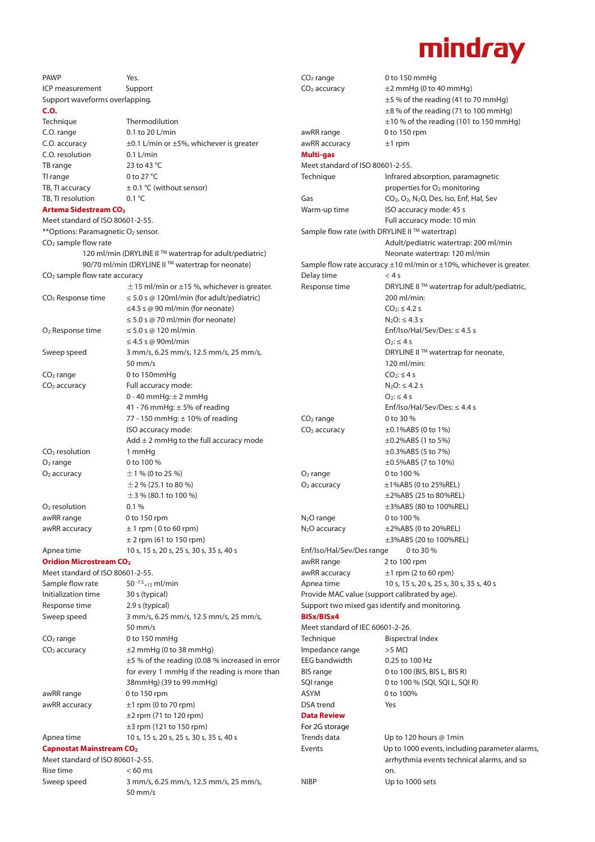

| <b>PAWP</b>                                            | Yes.                                                 | $CO2$ range                                                                    | 0 to 150 mmHg                                                                |  |
|--------------------------------------------------------|------------------------------------------------------|--------------------------------------------------------------------------------|------------------------------------------------------------------------------|--|
| <b>ICP</b> measurement                                 | Support                                              | CO <sub>2</sub> accuracy                                                       | $\pm 2$ mmHg (0 to 40 mmHg)                                                  |  |
| Support waveforms overlapping.                         |                                                      |                                                                                | ±5 % of the reading (41 to 70 mmHg)                                          |  |
| C.O.                                                   |                                                      |                                                                                | ±8% of the reading (71 to 100 mmHg)                                          |  |
| Technique                                              | Thermodilution                                       |                                                                                | $\pm$ 10 % of the reading (101 to 150 mmHg)                                  |  |
| C.O. range                                             | 0.1 to 20 L/min                                      | awRR range                                                                     | 0 to 150 rpm                                                                 |  |
| C.O. accuracy                                          | $\pm$ 0.1 L/min or $\pm$ 5%, whichever is greater    | awRR accuracy                                                                  | $±1$ rpm                                                                     |  |
| C.O. resolution                                        | $0.1$ L/min                                          | Multi-gas                                                                      |                                                                              |  |
| TB range                                               | 23 to 43 °C                                          | Meet standard of ISO 80601-2-55.                                               |                                                                              |  |
| TI range                                               | 0 to 27 $\degree$ C                                  | Technique                                                                      | Infrared absorption, paramagnetic                                            |  |
| TB, TI accuracy                                        | $\pm$ 0.1 °C (without sensor)                        |                                                                                | properties for O <sub>2</sub> monitoring                                     |  |
| TB, TI resolution                                      | $0.1 \text{ }^{\circ}$ C                             | Gas                                                                            | CO <sub>2</sub> , O <sub>2</sub> , N <sub>2</sub> O, Des, Iso, Enf, Hal, Sev |  |
| <b>Artema Sidestream CO<sub>2</sub></b>                |                                                      | Warm-up time                                                                   | ISO accuracy mode: 45 s                                                      |  |
| Meet standard of ISO 80601-2-55.                       |                                                      |                                                                                | Full accuracy mode: 10 min                                                   |  |
| ** Options: Paramagnetic O2 sensor.                    |                                                      | Sample flow rate (with DRYLINE II™ watertrap)                                  |                                                                              |  |
| CO <sub>2</sub> sample flow rate                       |                                                      |                                                                                | Adult/pediatric watertrap: 200 ml/min                                        |  |
| 120 ml/min (DRYLINE II™ watertrap for adult/pediatric) |                                                      | Neonate watertrap: 120 ml/min                                                  |                                                                              |  |
|                                                        | 90/70 ml/min (DRYLINE II™ watertrap for neonate)     | Sample flow rate accuracy $\pm 10$ ml/min or $\pm 10$ %, whichever is greater. |                                                                              |  |
| CO <sub>2</sub> sample flow rate accuracy              |                                                      | Delay time                                                                     | < 4s                                                                         |  |
|                                                        | $\pm$ 15 ml/min or $\pm$ 15 %, whichever is greater. | Response time                                                                  | DRYLINE II™ watertrap for adult/pediatric,                                   |  |
| CO <sub>2</sub> Response time                          | $\leq$ 5.0 s @ 120ml/min (for adult/pediatric)       |                                                                                | 200 ml/min:                                                                  |  |
|                                                        | $\leq$ 4.5 s @ 90 ml/min (for neonate)               |                                                                                | $CO_2$ : $\leq$ 4.2 s                                                        |  |
|                                                        | $\leq$ 5.0 s @ 70 ml/min (for neonate)               |                                                                                | $N_2O: \leq 4.3 s$                                                           |  |
| O <sub>2</sub> Response time                           | $\leq$ 5.0 s @ 120 ml/min                            |                                                                                | Enf/Iso/Hal/Sev/Des: $\leq$ 4.5 s                                            |  |
|                                                        | $\leq$ 4.5 s @ 90ml/min                              |                                                                                | $O_2$ : $\leq$ 4 s                                                           |  |
| Sweep speed                                            | 3 mm/s, 6.25 mm/s, 12.5 mm/s, 25 mm/s,               |                                                                                | DRYLINE II™ watertrap for neonate,                                           |  |
|                                                        | $50$ mm/s                                            |                                                                                | 120 ml/min:                                                                  |  |
| $CO2$ range                                            | 0 to 150mmHq                                         |                                                                                | $CO2:$ $\leq$ 4 s                                                            |  |
| CO <sub>2</sub> accuracy                               | Full accuracy mode:                                  |                                                                                | $N_2O: \leq 4.2 s$                                                           |  |
|                                                        | $0 - 40$ mmHg: $\pm 2$ mmHg                          |                                                                                | $O_2$ : $\leq$ 4 s                                                           |  |
|                                                        | 41 - 76 mmHg: $\pm$ 5% of reading                    |                                                                                | Enf/Iso/Hal/Sev/Des: $\leq$ 4.4 s                                            |  |
|                                                        | 77 - 150 mmHg: ± 10% of reading                      | $CO2$ range                                                                    | 0 to 30 %                                                                    |  |
|                                                        | ISO accuracy mode:                                   | $CO2$ accuracy                                                                 | $\pm 0.1\%$ ABS (0 to 1%)                                                    |  |
|                                                        | Add $\pm$ 2 mmHg to the full accuracy mode           |                                                                                | $\pm 0.2\%$ ABS (1 to 5%)                                                    |  |
| $CO2$ resolution<br>$O2$ range                         | 1 mmHq                                               |                                                                                | $\pm 0.3\%$ ABS (5 to 7%)                                                    |  |
|                                                        | 0 to 100 %                                           |                                                                                | ±0.5%ABS (7 to 10%)<br>0 to 100 %                                            |  |
| $O2$ accuracy                                          | $\pm$ 1 % (0 to 25 %)<br>$\pm$ 2 % (25.1 to 80 %)    | $O2$ range<br>$O2$ accuracy                                                    | ±1%ABS (0 to 25%REL)                                                         |  |
|                                                        | $\pm$ 3 % (80.1 to 100 %)                            |                                                                                | $\pm$ 2%ABS (25 to 80%REL)                                                   |  |
| $O2$ resolution                                        | 0.1%                                                 |                                                                                | ±3%ABS (80 to 100%REL)                                                       |  |
| awRR range                                             | 0 to 150 rpm                                         | $N2O$ range                                                                    | 0 to 100 %                                                                   |  |
| awRR accuracy                                          | $± 1$ rpm (0 to 60 rpm)                              | $N_2O$ accuracy                                                                | ±2%ABS (0 to 20%REL)                                                         |  |
|                                                        | $\pm$ 2 rpm (61 to 150 rpm)                          |                                                                                | ±3%ABS (20 to 100%REL)                                                       |  |
| Apnea time                                             | 10 s, 15 s, 20 s, 25 s, 30 s, 35 s, 40 s             | Enf/Iso/Hal/Sev/Des range                                                      | 0 to 30 %                                                                    |  |
| <b>Oridion Microstream CO<sub>2</sub></b>              |                                                      | awRR range                                                                     | 2 to 100 rpm                                                                 |  |
| Meet standard of ISO 80601-2-55.                       |                                                      | awRR accuracy                                                                  | $\pm 1$ rpm (2 to 60 rpm)                                                    |  |
| Sample flow rate                                       | 50 $-7.5$ <sub>+15</sub> ml/min                      | Apnea time                                                                     | 10 s, 15 s, 20 s, 25 s, 30 s, 35 s, 40 s                                     |  |
| Initialization time                                    | 30 s (typical)                                       |                                                                                | Provide MAC value (support calibrated by age).                               |  |
| Response time                                          | 2.9 s (typical)                                      |                                                                                | Support two mixed gas identify and monitoring.                               |  |
| Sweep speed                                            | 3 mm/s, 6.25 mm/s, 12.5 mm/s, 25 mm/s,               | BISx/BISx4                                                                     |                                                                              |  |
|                                                        | $50 \text{ mm/s}$                                    | Meet standard of IEC 60601-2-26.                                               |                                                                              |  |
| $CO2$ range                                            | 0 to 150 mmHg                                        | Technique                                                                      | <b>Bispectral Index</b>                                                      |  |
| $CO2$ accuracy                                         | $±2$ mmHg (0 to 38 mmHg)                             | Impedance range                                                                | $>5$ M $\Omega$                                                              |  |
|                                                        | $\pm$ 5 % of the reading (0.08 % increased in error  | EEG bandwidth                                                                  | 0.25 to 100 Hz                                                               |  |
|                                                        | for every 1 mmHg if the reading is more than         | <b>BIS</b> range                                                               | 0 to 100 (BIS, BIS L, BIS R)                                                 |  |
|                                                        | 38mmHg) (39 to 99 mmHg)                              | SQI range                                                                      | 0 to 100 % (SQI, SQI L, SQI R)                                               |  |
| awRR range                                             | 0 to 150 rpm                                         | <b>ASYM</b>                                                                    | 0 to 100%                                                                    |  |
| awRR accuracy                                          | $\pm 1$ rpm (0 to 70 rpm)                            | DSA trend                                                                      | Yes                                                                          |  |
|                                                        | $\pm$ 2 rpm (71 to 120 rpm)                          | <b>Data Review</b>                                                             |                                                                              |  |
|                                                        | $\pm$ 3 rpm (121 to 150 rpm)                         | For 2G storage                                                                 |                                                                              |  |
| Apnea time                                             | 10 s, 15 s, 20 s, 25 s, 30 s, 35 s, 40 s             | Trends data                                                                    | Up to 120 hours @ 1min                                                       |  |
| <b>Capnostat Mainstream CO2</b>                        |                                                      | Events                                                                         | Up to 1000 events, including parameter alarms,                               |  |
| Meet standard of ISO 80601-2-55.                       |                                                      |                                                                                | arrhythmia events technical alarms, and so                                   |  |
| Rise time                                              | $< 60$ ms                                            |                                                                                | on.                                                                          |  |
| Sweep speed                                            | 3 mm/s, 6.25 mm/s, 12.5 mm/s, 25 mm/s,               | <b>NIBP</b>                                                                    | Up to 1000 sets                                                              |  |
|                                                        | $50 \text{ mm/s}$                                    |                                                                                |                                                                              |  |